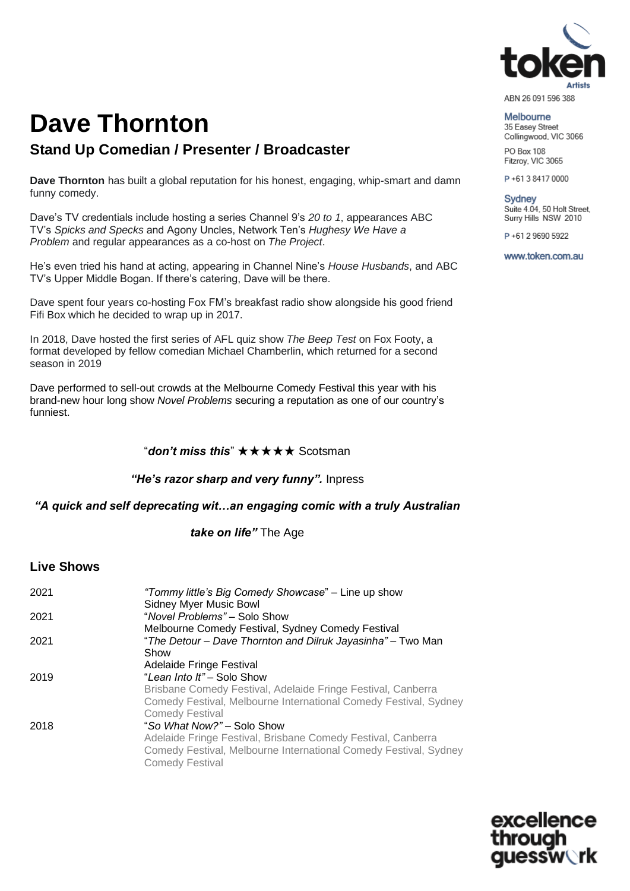

### Melbourne 35 Easey Street Collingwood, VIC 3066 PO Box 108

Fitzrov, VIC 3065

P+61384170000

**Sydney** Suite 4.04, 50 Holt Street. Surry Hills NSW 2010

P+61 2 9690 5922

www.token.com.au

## **Dave Thornton Stand Up Comedian / Presenter / Broadcaster**

**Dave Thornton** has built a global reputation for his honest, engaging, whip-smart and damn funny comedy.

Dave's TV credentials include hosting a series Channel 9's *20 to 1*, appearances ABC TV's *Spicks and Specks* and Agony Uncles, Network Ten's *Hughesy We Have a Problem* and regular appearances as a co-host on *The Project*.

He's even tried his hand at acting, appearing in Channel Nine's *House Husbands*, and ABC TV's Upper Middle Bogan. If there's catering, Dave will be there.

Dave spent four years co-hosting Fox FM's breakfast radio show alongside his good friend Fifi Box which he decided to wrap up in 2017.

In 2018, Dave hosted the first series of AFL quiz show *The Beep Test* on Fox Footy, a format developed by fellow comedian Michael Chamberlin, which returned for a second season in 2019

Dave performed to sell-out crowds at the Melbourne Comedy Festival this year with his brand-new hour long show *Novel Problems* securing a reputation as one of our country's funniest.

### "*don't miss this*" ★★★★★ Scotsman

*"He's razor sharp and very funny".* Inpress

### *"A quick and self deprecating wit…an engaging comic with a truly Australian*

*take on life"* The Age

### **Live Shows**

| 2021 | "Tommy little's Big Comedy Showcase" - Line up show<br>Sidney Myer Music Bowl                                                                              |
|------|------------------------------------------------------------------------------------------------------------------------------------------------------------|
| 2021 | "Novel Problems" – Solo Show                                                                                                                               |
|      | Melbourne Comedy Festival, Sydney Comedy Festival                                                                                                          |
| 2021 | "The Detour - Dave Thornton and Dilruk Jayasinha" - Two Man                                                                                                |
|      | Show                                                                                                                                                       |
|      | Adelaide Fringe Festival                                                                                                                                   |
| 2019 | "Lean Into It" - Solo Show                                                                                                                                 |
|      | Brisbane Comedy Festival, Adelaide Fringe Festival, Canberra                                                                                               |
|      | Comedy Festival, Melbourne International Comedy Festival, Sydney                                                                                           |
|      | <b>Comedy Festival</b>                                                                                                                                     |
| 2018 | "So What Now?" – Solo Show                                                                                                                                 |
|      | Adelaide Fringe Festival, Brisbane Comedy Festival, Canberra<br>Comedy Festival, Melbourne International Comedy Festival, Sydney<br><b>Comedy Festival</b> |

excellence essw∖`rk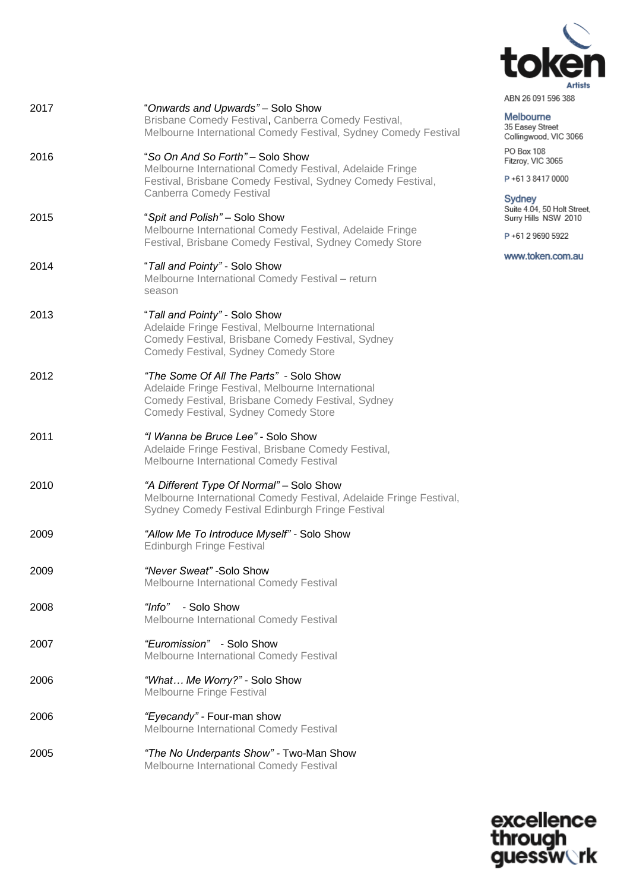

| ABN 26 091 596 388 |  |  |  |
|--------------------|--|--|--|
|                    |  |  |  |

# Melbourne<br>35 Easey Street<br>Collingwood, VIC 3066

PO Box 108 Fitzroy, VIC 3065

P+61384170000

Sydney

Suite 4.04, 50 Holt Street,<br>Surry Hills NSW 2010

P+61 2 9690 5922

www.token.com.au

| 2017 | "Onwards and Upwards" - Solo Show<br>Brisbane Comedy Festival, Canberra Comedy Festival,<br>Melbourne International Comedy Festival, Sydney Comedy Festival                               |
|------|-------------------------------------------------------------------------------------------------------------------------------------------------------------------------------------------|
| 2016 | "So On And So Forth" - Solo Show<br>Melbourne International Comedy Festival, Adelaide Fringe<br>Festival, Brisbane Comedy Festival, Sydney Comedy Festival,<br>Canberra Comedy Festival   |
| 2015 | "Spit and Polish" - Solo Show<br>Melbourne International Comedy Festival, Adelaide Fringe<br>Festival, Brisbane Comedy Festival, Sydney Comedy Store                                      |
| 2014 | "Tall and Pointy" - Solo Show<br>Melbourne International Comedy Festival - return<br>season                                                                                               |
| 2013 | "Tall and Pointy" - Solo Show<br>Adelaide Fringe Festival, Melbourne International<br>Comedy Festival, Brisbane Comedy Festival, Sydney<br>Comedy Festival, Sydney Comedy Store           |
| 2012 | "The Some Of All The Parts" - Solo Show<br>Adelaide Fringe Festival, Melbourne International<br>Comedy Festival, Brisbane Comedy Festival, Sydney<br>Comedy Festival, Sydney Comedy Store |
| 2011 | "I Wanna be Bruce Lee" - Solo Show<br>Adelaide Fringe Festival, Brisbane Comedy Festival,<br>Melbourne International Comedy Festival                                                      |
| 2010 | "A Different Type Of Normal" - Solo Show<br>Melbourne International Comedy Festival, Adelaide Fringe Festival,<br>Sydney Comedy Festival Edinburgh Fringe Festival                        |
| 2009 | "Allow Me To Introduce Myself" - Solo Show<br><b>Edinburgh Fringe Festival</b>                                                                                                            |
| 2009 | "Never Sweat" - Solo Show<br>Melbourne International Comedy Festival                                                                                                                      |
| 2008 | "Info" - Solo Show<br>Melbourne International Comedy Festival                                                                                                                             |
| 2007 | "Euromission" - Solo Show<br>Melbourne International Comedy Festival                                                                                                                      |
| 2006 | "What Me Worry?" - Solo Show<br>Melbourne Fringe Festival                                                                                                                                 |
| 2006 | "Eyecandy" - Four-man show<br>Melbourne International Comedy Festival                                                                                                                     |
| 2005 | "The No Underpants Show" - Two-Man Show                                                                                                                                                   |

Melbourne International Comedy Festival

excellence<br>through<br>guessw**ork**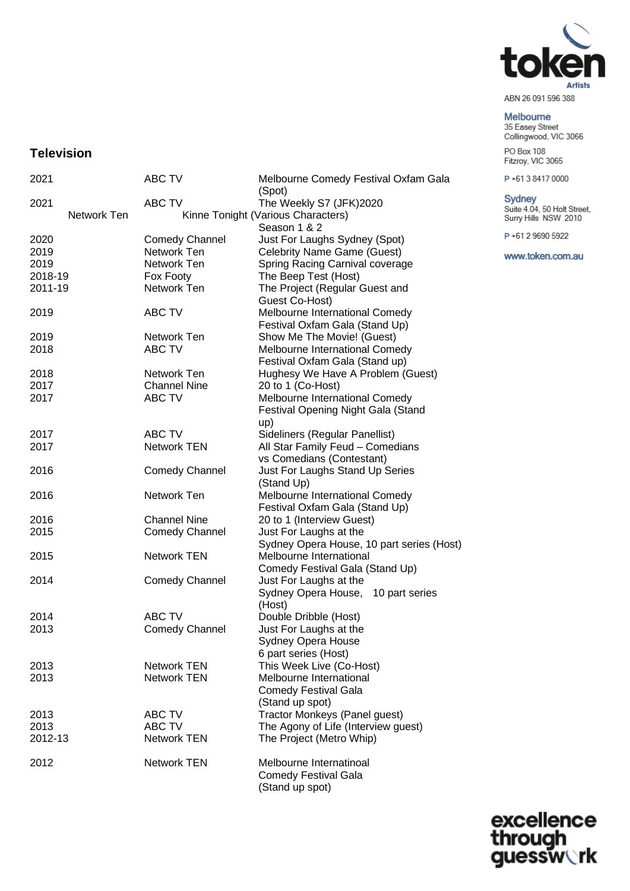

ABN 26 091 596 388

### Melbourne

35 Easey Street<br>Collingwood, VIC 3066 PO Box 108

Fitzroy, VIC 3065

P+61384170000

### Sydney

Suite 4.04, 50 Holt Street,<br>Surry Hills NSW 2010

P+61 2 9690 5922

www.token.com.au

### **Television**

| 2021        | ABC TV                               | Melbourne Comedy Festival Oxfam Gala<br>(Spot)   |  |
|-------------|--------------------------------------|--------------------------------------------------|--|
| 2021        | <b>ABC TV</b>                        | The Weekly S7 (JFK)2020                          |  |
| Network Ten |                                      | Kinne Tonight (Various Characters)               |  |
|             |                                      | Season 1 & 2                                     |  |
| 2020        |                                      | Just For Laughs Sydney (Spot)                    |  |
| 2019        | <b>Comedy Channel</b><br>Network Ten |                                                  |  |
|             |                                      | <b>Celebrity Name Game (Guest)</b>               |  |
| 2019        | Network Ten                          | Spring Racing Carnival coverage                  |  |
| 2018-19     | Fox Footy                            | The Beep Test (Host)                             |  |
| 2011-19     | Network Ten                          | The Project (Regular Guest and<br>Guest Co-Host) |  |
| 2019        | ABC TV                               | Melbourne International Comedy                   |  |
|             |                                      | Festival Oxfam Gala (Stand Up)                   |  |
| 2019        | Network Ten                          | Show Me The Movie! (Guest)                       |  |
| 2018        | ABC TV                               | Melbourne International Comedy                   |  |
|             |                                      | Festival Oxfam Gala (Stand up)                   |  |
| 2018        | Network Ten                          | Hughesy We Have A Problem (Guest)                |  |
| 2017        | <b>Channel Nine</b>                  | 20 to 1 (Co-Host)                                |  |
| 2017        | ABC TV                               | Melbourne International Comedy                   |  |
|             |                                      | Festival Opening Night Gala (Stand               |  |
|             |                                      | up)                                              |  |
| 2017        | ABC TV                               | Sideliners (Regular Panellist)                   |  |
| 2017        | <b>Network TEN</b>                   | All Star Family Feud - Comedians                 |  |
|             |                                      | vs Comedians (Contestant)                        |  |
| 2016        | <b>Comedy Channel</b>                | Just For Laughs Stand Up Series                  |  |
|             |                                      | (Stand Up)                                       |  |
| 2016        | Network Ten                          | Melbourne International Comedy                   |  |
|             |                                      | Festival Oxfam Gala (Stand Up)                   |  |
| 2016        | <b>Channel Nine</b>                  | 20 to 1 (Interview Guest)                        |  |
| 2015        | <b>Comedy Channel</b>                | Just For Laughs at the                           |  |
|             |                                      | Sydney Opera House, 10 part series (Host)        |  |
| 2015        | <b>Network TEN</b>                   | Melbourne International                          |  |
|             |                                      | Comedy Festival Gala (Stand Up)                  |  |
| 2014        | <b>Comedy Channel</b>                | Just For Laughs at the                           |  |
|             |                                      | Sydney Opera House, 10 part series               |  |
|             |                                      | (Host)                                           |  |
| 2014        | ABC TV                               | Double Dribble (Host)                            |  |
| 2013        | <b>Comedy Channel</b>                | Just For Laughs at the                           |  |
|             |                                      | Sydney Opera House                               |  |
|             |                                      | 6 part series (Host)                             |  |
| 2013        | <b>Network TEN</b>                   | This Week Live (Co-Host)                         |  |
| 2013        | <b>Network TEN</b>                   | Melbourne International                          |  |
|             |                                      | <b>Comedy Festival Gala</b>                      |  |
|             |                                      | (Stand up spot)                                  |  |
| 2013        | ABC TV                               | Tractor Monkeys (Panel guest)                    |  |
| 2013        | ABC TV                               | The Agony of Life (Interview guest)              |  |
| 2012-13     | <b>Network TEN</b>                   | The Project (Metro Whip)                         |  |
|             |                                      |                                                  |  |
| 2012        | <b>Network TEN</b>                   | Melbourne Internatinoal                          |  |
|             |                                      | <b>Comedy Festival Gala</b>                      |  |
|             |                                      | (Stand up spot)                                  |  |
|             |                                      |                                                  |  |

excellence<br>through<br>guessw**ork**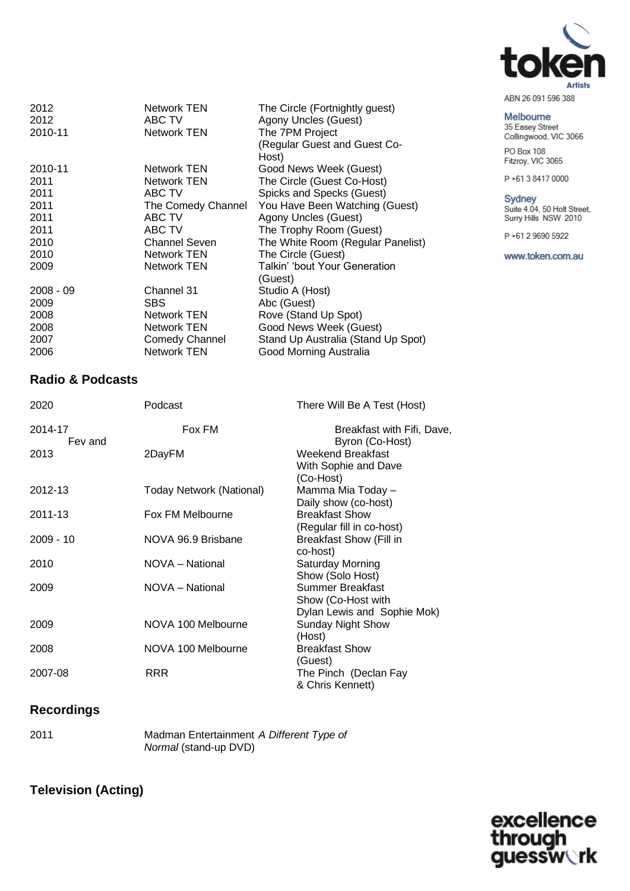

| ABN 26 091 596 388 |  |  |
|--------------------|--|--|
|                    |  |  |

Melbourne<br>35 Easey Street<br>Collingwood, VIC 3066 PO Box 108

Fitzroy, VIC 3065

P+61384170000

Sydney<br>Suite 4.04, 50 Holt Street,<br>Surry Hills NSW 2010

P+61 2 9690 5922

www.token.com.au

| 2012<br>Network TEN<br>The Circle (Fortnightly guest)<br>Agony Uncles (Guest)<br>ABC TV<br>2012<br>The 7PM Project<br>2010-11<br>Network TEN<br>(Regular Guest and Guest Co- |  |
|------------------------------------------------------------------------------------------------------------------------------------------------------------------------------|--|
| Host)                                                                                                                                                                        |  |
| 2010-11<br>Network TEN<br>Good News Week (Guest)                                                                                                                             |  |
| The Circle (Guest Co-Host)<br>Network TEN<br>2011                                                                                                                            |  |
| ABC TV<br>Spicks and Specks (Guest)<br>2011                                                                                                                                  |  |
| You Have Been Watching (Guest)<br>The Comedy Channel<br>2011                                                                                                                 |  |
| ABC TV<br>2011<br>Agony Uncles (Guest)                                                                                                                                       |  |
| ABC TV<br>The Trophy Room (Guest)<br>2011                                                                                                                                    |  |
| 2010<br><b>Channel Seven</b><br>The White Room (Regular Panelist)                                                                                                            |  |
| The Circle (Guest)<br>Network TEN<br>2010                                                                                                                                    |  |
| Talkin' 'bout Your Generation<br>Network TEN<br>2009                                                                                                                         |  |
| (Guest)                                                                                                                                                                      |  |
| $2008 - 09$<br>Channel 31<br>Studio A (Host)                                                                                                                                 |  |
| Abc (Guest)<br>2009<br><b>SBS</b>                                                                                                                                            |  |
| Rove (Stand Up Spot)<br>2008<br>Network TEN                                                                                                                                  |  |
| Good News Week (Guest)<br>2008<br><b>Network TEN</b>                                                                                                                         |  |
| <b>Comedy Channel</b><br>Stand Up Australia (Stand Up Spot)<br>2007                                                                                                          |  |
| <b>Network TEN</b><br>Good Morning Australia<br>2006                                                                                                                         |  |

### **Radio & Podcasts**

| 2020               | Podcast                  | There Will Be A Test (Host)                                                  |
|--------------------|--------------------------|------------------------------------------------------------------------------|
| 2014-17<br>Fev and | Fox FM                   | Breakfast with Fifi, Dave,<br>Byron (Co-Host)                                |
| 2013               | 2DayFM                   | Weekend Breakfast<br>With Sophie and Dave<br>(Co-Host)                       |
| 2012-13            | Today Network (National) | Mamma Mia Today -<br>Daily show (co-host)                                    |
| 2011-13            | Fox FM Melbourne         | <b>Breakfast Show</b><br>(Regular fill in co-host)                           |
| $2009 - 10$        | NOVA 96.9 Brisbane       | <b>Breakfast Show (Fill in</b><br>co-host)                                   |
| 2010               | NOVA - National          | Saturday Morning<br>Show (Solo Host)                                         |
| 2009               | NOVA - National          | <b>Summer Breakfast</b><br>Show (Co-Host with<br>Dylan Lewis and Sophie Mok) |
| 2009               | NOVA 100 Melbourne       | <b>Sunday Night Show</b><br>(Host)                                           |
| 2008               | NOVA 100 Melbourne       | <b>Breakfast Show</b><br>(Guest)                                             |
| 2007-08            | <b>RRR</b>               | The Pinch (Declan Fay<br>& Chris Kennett)                                    |

### **Recordings**

| 2011 | Madman Entertainment A Different Type of |  |
|------|------------------------------------------|--|
|      | Normal (stand-up DVD)                    |  |

### **Television (Acting)**

excellence<br>through<br>guessw**ork**